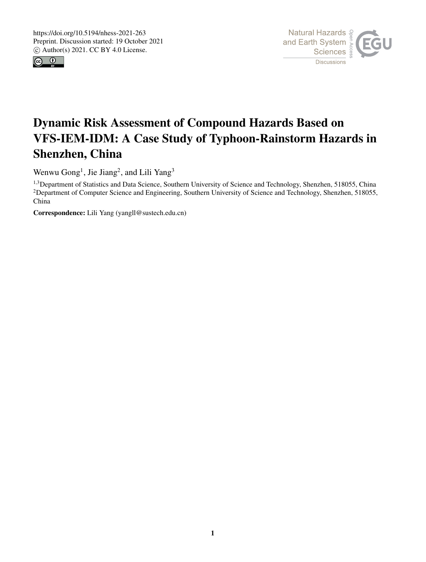



# Dynamic Risk Assessment of Compound Hazards Based on VFS-IEM-IDM: A Case Study of Typhoon-Rainstorm Hazards in Shenzhen, China

Wenwu Gong<sup>1</sup>, Jie Jiang<sup>2</sup>, and Lili Yang<sup>3</sup>

<sup>1,3</sup>Department of Statistics and Data Science, Southern University of Science and Technology, Shenzhen, 518055, China <sup>2</sup>Department of Computer Science and Engineering, Southern University of Science and Technology, Shenzhen, 518055, China

Correspondence: Lili Yang (yangll@sustech.edu.cn)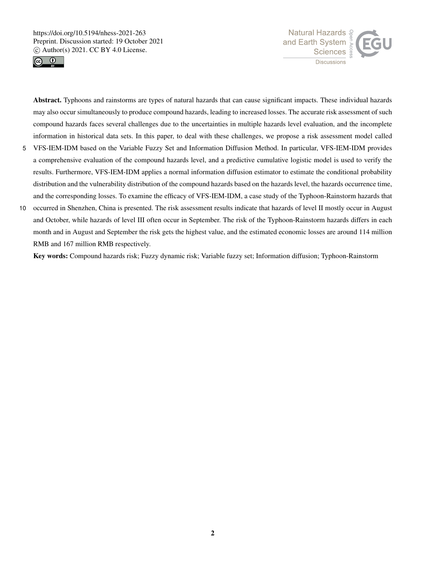



Abstract. Typhoons and rainstorms are types of natural hazards that can cause significant impacts. These individual hazards may also occur simultaneously to produce compound hazards, leading to increased losses. The accurate risk assessment of such compound hazards faces several challenges due to the uncertainties in multiple hazards level evaluation, and the incomplete information in historical data sets. In this paper, to deal with these challenges, we propose a risk assessment model called

- 5 VFS-IEM-IDM based on the Variable Fuzzy Set and Information Diffusion Method. In particular, VFS-IEM-IDM provides a comprehensive evaluation of the compound hazards level, and a predictive cumulative logistic model is used to verify the results. Furthermore, VFS-IEM-IDM applies a normal information diffusion estimator to estimate the conditional probability distribution and the vulnerability distribution of the compound hazards based on the hazards level, the hazards occurrence time, and the corresponding losses. To examine the efficacy of VFS-IEM-IDM, a case study of the Typhoon-Rainstorm hazards that
- 10 occurred in Shenzhen, China is presented. The risk assessment results indicate that hazards of level II mostly occur in August and October, while hazards of level III often occur in September. The risk of the Typhoon-Rainstorm hazards differs in each month and in August and September the risk gets the highest value, and the estimated economic losses are around 114 million RMB and 167 million RMB respectively.

Key words: Compound hazards risk; Fuzzy dynamic risk; Variable fuzzy set; Information diffusion; Typhoon-Rainstorm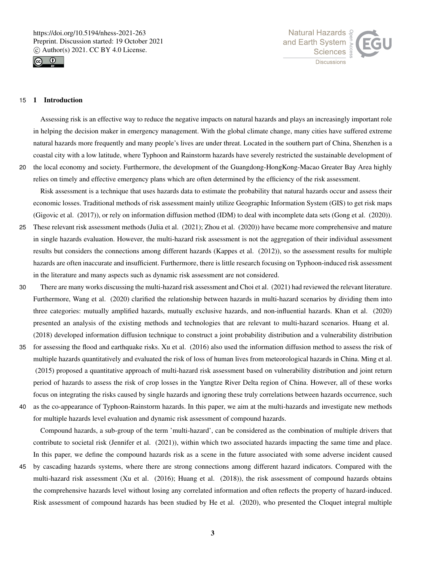



#### 15 1 Introduction

Assessing risk is an effective way to reduce the negative impacts on natural hazards and plays an increasingly important role in helping the decision maker in emergency management. With the global climate change, many cities have suffered extreme natural hazards more frequently and many people's lives are under threat. Located in the southern part of China, Shenzhen is a coastal city with a low latitude, where Typhoon and Rainstorm hazards have severely restricted the sustainable development of 20 the local economy and society. Furthermore, the development of the Guangdong-HongKong-Macao Greater Bay Area highly

Risk assessment is a technique that uses hazards data to estimate the probability that natural hazards occur and assess their economic losses. Traditional methods of risk assessment mainly utilize Geographic Information System (GIS) to get risk maps (Gigovic et al. (2017)), or rely on information diffusion method (IDM) to deal with incomplete data sets (Gong et al. (2020)).

relies on timely and effective emergency plans which are often determined by the efficiency of the risk assessment.

- 25 These relevant risk assessment methods (Julia et al. (2021); Zhou et al. (2020)) have became more comprehensive and mature in single hazards evaluation. However, the multi-hazard risk assessment is not the aggregation of their individual assessment results but considers the connections among different hazards (Kappes et al. (2012)), so the assessment results for multiple hazards are often inaccurate and insufficient. Furthermore, there is little research focusing on Typhoon-induced risk assessment in the literature and many aspects such as dynamic risk assessment are not considered.
- 30 There are many works discussing the multi-hazard risk assessment and Choi et al. (2021) had reviewed the relevant literature. Furthermore, Wang et al. (2020) clarified the relationship between hazards in multi-hazard scenarios by dividing them into three categories: mutually amplified hazards, mutually exclusive hazards, and non-influential hazards. Khan et al. (2020) presented an analysis of the existing methods and technologies that are relevant to multi-hazard scenarios. Huang et al. (2018) developed information diffusion technique to construct a joint probability distribution and a vulnerability distribution
- 35 for assessing the flood and earthquake risks. Xu et al. (2016) also used the information diffusion method to assess the risk of multiple hazards quantitatively and evaluated the risk of loss of human lives from meteorological hazards in China. Ming et al. (2015) proposed a quantitative approach of multi-hazard risk assessment based on vulnerability distribution and joint return period of hazards to assess the risk of crop losses in the Yangtze River Delta region of China. However, all of these works focus on integrating the risks caused by single hazards and ignoring these truly correlations between hazards occurrence, such 40 as the co-appearance of Typhoon-Rainstorm hazards. In this paper, we aim at the multi-hazards and investigate new methods
- 

for multiple hazards level evaluation and dynamic risk assessment of compound hazards.

Compound hazards, a sub-group of the term 'multi-hazard', can be considered as the combination of multiple drivers that contribute to societal risk (Jennifer et al. (2021)), within which two associated hazards impacting the same time and place. In this paper, we define the compound hazards risk as a scene in the future associated with some adverse incident caused

45 by cascading hazards systems, where there are strong connections among different hazard indicators. Compared with the multi-hazard risk assessment (Xu et al. (2016); Huang et al. (2018)), the risk assessment of compound hazards obtains the comprehensive hazards level without losing any correlated information and often reflects the property of hazard-induced. Risk assessment of compound hazards has been studied by He et al. (2020), who presented the Cloquet integral multiple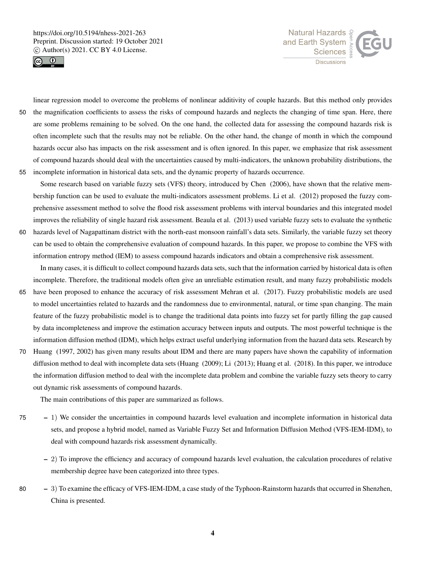



linear regression model to overcome the problems of nonlinear additivity of couple hazards. But this method only provides 50 the magnification coefficients to assess the risks of compound hazards and neglects the changing of time span. Here, there are some problems remaining to be solved. On the one hand, the collected data for assessing the compound hazards risk is often incomplete such that the results may not be reliable. On the other hand, the change of month in which the compound hazards occur also has impacts on the risk assessment and is often ignored. In this paper, we emphasize that risk assessment of compound hazards should deal with the uncertainties caused by multi-indicators, the unknown probability distributions, the 55 incomplete information in historical data sets, and the dynamic property of hazards occurrence.

- Some research based on variable fuzzy sets (VFS) theory, introduced by Chen (2006), have shown that the relative membership function can be used to evaluate the multi-indicators assessment problems. Li et al. (2012) proposed the fuzzy comprehensive assessment method to solve the flood risk assessment problems with interval boundaries and this integrated model improves the reliability of single hazard risk assessment. Beaula et al. (2013) used variable fuzzy sets to evaluate the synthetic 60 hazards level of Nagapattinam district with the north-east monsoon rainfall's data sets. Similarly, the variable fuzzy set theory
- can be used to obtain the comprehensive evaluation of compound hazards. In this paper, we propose to combine the VFS with information entropy method (IEM) to assess compound hazards indicators and obtain a comprehensive risk assessment. In many cases, it is difficult to collect compound hazards data sets, such that the information carried by historical data is often
- incomplete. Therefore, the traditional models often give an unreliable estimation result, and many fuzzy probabilistic models 65 have been proposed to enhance the accuracy of risk assessment Mehran et al. (2017). Fuzzy probabilistic models are used to model uncertainties related to hazards and the randomness due to environmental, natural, or time span changing. The main feature of the fuzzy probabilistic model is to change the traditional data points into fuzzy set for partly filling the gap caused by data incompleteness and improve the estimation accuracy between inputs and outputs. The most powerful technique is the information diffusion method (IDM), which helps extract useful underlying information from the hazard data sets. Research by
- 70 Huang (1997, 2002) has given many results about IDM and there are many papers have shown the capability of information diffusion method to deal with incomplete data sets (Huang (2009); Li (2013); Huang et al. (2018). In this paper, we introduce the information diffusion method to deal with the incomplete data problem and combine the variable fuzzy sets theory to carry out dynamic risk assessments of compound hazards.

The main contributions of this paper are summarized as follows.

- 75 1) We consider the uncertainties in compound hazards level evaluation and incomplete information in historical data sets, and propose a hybrid model, named as Variable Fuzzy Set and Information Diffusion Method (VFS-IEM-IDM), to deal with compound hazards risk assessment dynamically.
	- 2) To improve the efficiency and accuracy of compound hazards level evaluation, the calculation procedures of relative membership degree have been categorized into three types.
- 80 3) To examine the efficacy of VFS-IEM-IDM, a case study of the Typhoon-Rainstorm hazards that occurred in Shenzhen, China is presented.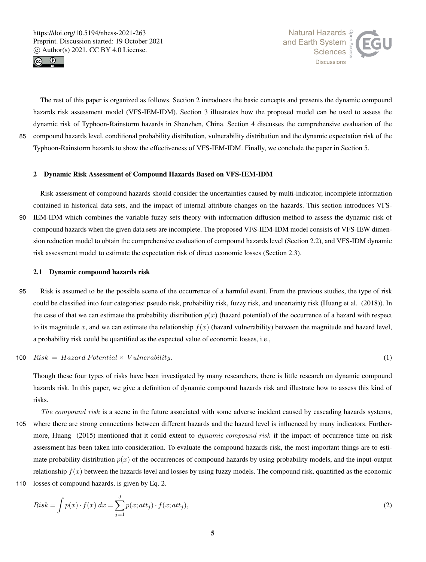



The rest of this paper is organized as follows. Section 2 introduces the basic concepts and presents the dynamic compound hazards risk assessment model (VFS-IEM-IDM). Section 3 illustrates how the proposed model can be used to assess the dynamic risk of Typhoon-Rainstorm hazards in Shenzhen, China. Section 4 discusses the comprehensive evaluation of the 85 compound hazards level, conditional probability distribution, vulnerability distribution and the dynamic expectation risk of the Typhoon-Rainstorm hazards to show the effectiveness of VFS-IEM-IDM. Finally, we conclude the paper in Section 5.

#### 2 Dynamic Risk Assessment of Compound Hazards Based on VFS-IEM-IDM

Risk assessment of compound hazards should consider the uncertainties caused by multi-indicator, incomplete information contained in historical data sets, and the impact of internal attribute changes on the hazards. This section introduces VFS-90 IEM-IDM which combines the variable fuzzy sets theory with information diffusion method to assess the dynamic risk of compound hazards when the given data sets are incomplete. The proposed VFS-IEM-IDM model consists of VFS-IEW dimension reduction model to obtain the comprehensive evaluation of compound hazards level (Section 2.2), and VFS-IDM dynamic risk assessment model to estimate the expectation risk of direct economic losses (Section 2.3).

#### 2.1 Dynamic compound hazards risk

95 Risk is assumed to be the possible scene of the occurrence of a harmful event. From the previous studies, the type of risk could be classified into four categories: pseudo risk, probability risk, fuzzy risk, and uncertainty risk (Huang et al. (2018)). In the case of that we can estimate the probability distribution  $p(x)$  (hazard potential) of the occurrence of a hazard with respect to its magnitude x, and we can estimate the relationship  $f(x)$  (hazard vulnerability) between the magnitude and hazard level, a probability risk could be quantified as the expected value of economic losses, i.e.,

 $100 \quad Risk = Hazard Potential \times Vunderability.$ (1)

Though these four types of risks have been investigated by many researchers, there is little research on dynamic compound hazards risk. In this paper, we give a definition of dynamic compound hazards risk and illustrate how to assess this kind of risks.

- The compound risk is a scene in the future associated with some adverse incident caused by cascading hazards systems, 105 where there are strong connections between different hazards and the hazard level is influenced by many indicators. Furthermore, Huang (2015) mentioned that it could extent to *dynamic compound risk* if the impact of occurrence time on risk assessment has been taken into consideration. To evaluate the compound hazards risk, the most important things are to estimate probability distribution  $p(x)$  of the occurrences of compound hazards by using probability models, and the input-output relationship  $f(x)$  between the hazards level and losses by using fuzzy models. The compound risk, quantified as the economic 110 losses of compound hazards, is given by Eq. 2.
	- $Risk = \int p(x) \cdot f(x) dx = \sum_{n=1}^{J}$  $\sum_{j=1} p(x; att_j) \cdot f(x; att_j),$  (2)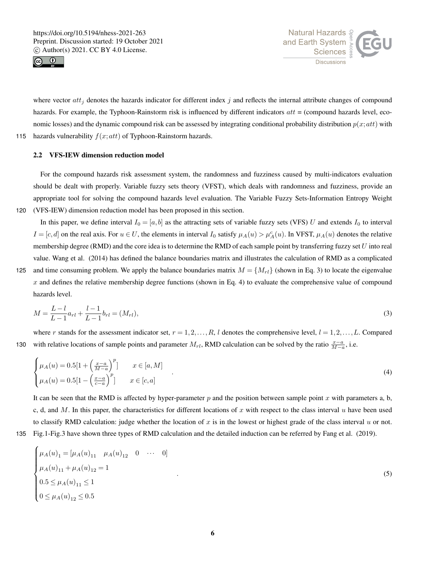



where vector  $att_j$  denotes the hazards indicator for different index  $j$  and reflects the internal attribute changes of compound hazards. For example, the Typhoon-Rainstorm risk is influenced by different indicators  $att =$  (compound hazards level, economic losses) and the dynamic compound risk can be assessed by integrating conditional probability distribution  $p(x;at)$  with 115 hazards vulnerability  $f(x;att)$  of Typhoon-Rainstorm hazards.

# 2.2 VFS-IEW dimension reduction model

For the compound hazards risk assessment system, the randomness and fuzziness caused by multi-indicators evaluation should be dealt with properly. Variable fuzzy sets theory (VFST), which deals with randomness and fuzziness, provide an appropriate tool for solving the compound hazards level evaluation. The Variable Fuzzy Sets-Information Entropy Weight 120 (VFS-IEW) dimension reduction model has been proposed in this section.

In this paper, we define interval  $I_0 = [a, b]$  as the attracting sets of variable fuzzy sets (VFS) U and extends  $I_0$  to interval  $I = [c, d]$  on the real axis. For  $u \in U$ , the elements in interval  $I_0$  satisfy  $\mu_A(u) > \mu_A^c(u)$ . In VFST,  $\mu_A(u)$  denotes the relative membership degree (RMD) and the core idea is to determine the RMD of each sample point by transferring fuzzy set  $U$  into real value. Wang et al. (2014) has defined the balance boundaries matrix and illustrates the calculation of RMD as a complicated 125 and time consuming problem. We apply the balance boundaries matrix  $M = \{M_{rl}\}\$  (shown in Eq. 3) to locate the eigenvalue  $x$  and defines the relative membership degree functions (shown in Eq. 4) to evaluate the comprehensive value of compound hazards level.

$$
M = \frac{L - l}{L - 1} a_{rl} + \frac{l - 1}{L - 1} b_{rl} = (M_{rl}),
$$
\n(3)

where r stands for the assessment indicator set,  $r = 1, 2, \ldots, R$ , l denotes the comprehensive level,  $l = 1, 2, \ldots, L$ . Compared 130 with relative locations of sample points and parameter  $M_{rl}$ , RMD calculation can be solved by the ratio  $\frac{x-a}{M-a}$ , i.e.

$$
\begin{cases}\n\mu_A(u) = 0.5[1 + \left(\frac{x-a}{M-a}\right)^p] & x \in [a, M] \\
\mu_A(u) = 0.5[1 - \left(\frac{x-a}{c-a}\right)^p] & x \in [c, a]\n\end{cases} \tag{4}
$$

It can be seen that the RMD is affected by hyper-parameter  $p$  and the position between sample point  $x$  with parameters a, b, c, d, and M. In this paper, the characteristics for different locations of x with respect to the class interval u have been used to classify RMD calculation: judge whether the location of  $x$  is in the lowest or highest grade of the class interval  $u$  or not. 135 Fig.1-Fig.3 have shown three types of RMD calculation and the detailed induction can be referred by Fang et al. (2019).

$$
135\,
$$

$$
\begin{cases}\n\mu_A(u)_1 = [\mu_A(u)_{11} \quad \mu_A(u)_{12} \quad 0 \quad \cdots \quad 0] \\
\mu_A(u)_{11} + \mu_A(u)_{12} = 1 \\
0.5 \le \mu_A(u)_{11} \le 1 \\
0 \le \mu_A(u)_{12} \le 0.5\n\end{cases}
$$
\n(5)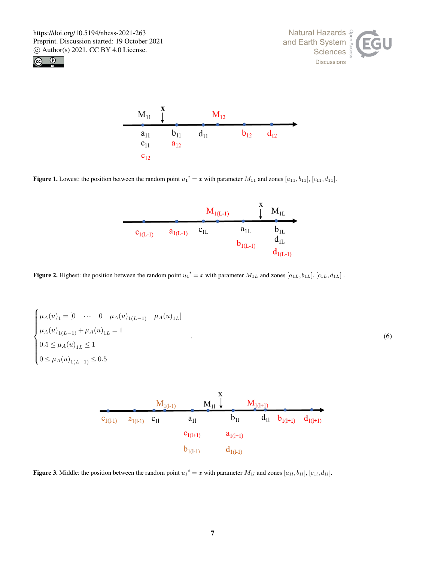





**Figure 1.** Lowest: the position between the random point  $u_1^t = x$  with parameter  $M_{11}$  and zones  $[a_{11}, b_{11}]$ ,  $[c_{11}, d_{11}]$ .



**Figure 2.** Highest: the position between the random point  $u_1^t = x$  with parameter  $M_{1L}$  and zones  $[a_{1L}, b_{1L}], [c_{1L}, d_{1L}]$ .

$$
\begin{cases}\n\mu_A(u)_1 = [0 \cdots 0 \mu_A(u)_{1(L-1)} \mu_A(u)_{1L}] \\
\mu_A(u)_{1(L-1)} + \mu_A(u)_{1L} = 1 \\
0.5 \le \mu_A(u)_{1L} \le 1 \\
0 \le \mu_A(u)_{1(L-1)} \le 0.5\n\end{cases}
$$
\n(6)



**Figure 3.** Middle: the position between the random point  $u_1^t = x$  with parameter  $M_{1l}$  and zones  $[a_{1l}, b_{1l}], [c_{1l}, d_{1l}]$ .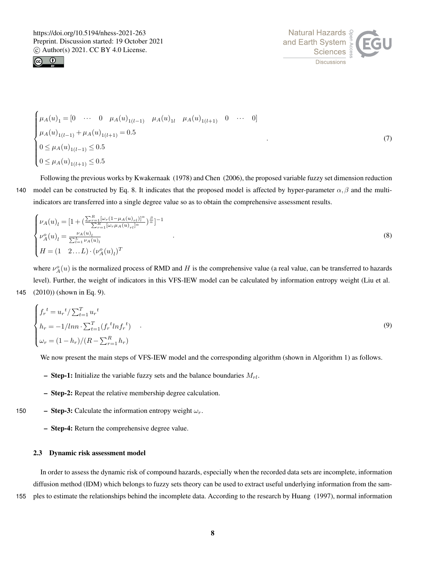



$$
\begin{cases}\n\mu_A(u)_1 = [0 \cdots 0 \mu_A(u)_{1(l-1)} \mu_A(u)_{1l} \mu_A(u)_{1(l+1)} 0 \cdots 0] \\
\mu_A(u)_{1(l-1)} + \mu_A(u)_{1(l+1)} = 0.5 \\
0 \le \mu_A(u)_{1(l-1)} \le 0.5 \\
0 \le \mu_A(u)_{1(l+1)} \le 0.5\n\end{cases}
$$
\n(7)

Following the previous works by Kwakernaak (1978) and Chen (2006), the proposed variable fuzzy set dimension reduction 140 model can be constructed by Eq. 8. It indicates that the proposed model is affected by hyper-parameter  $\alpha, \beta$  and the multiindicators are transferred into a single degree value so as to obtain the comprehensive assessment results.

$$
\begin{cases}\n\nu_A(u)_l = \left[1 + \left(\frac{\sum_{r=1}^R [\omega_r (1 - \mu_A(u)_{rl})]^{\alpha}}{\sum_{r=1}^R [\omega_r \mu_A(u)_{rl}]^{\alpha}}\right)^{\frac{\beta}{\alpha}}\right]^{-1} \\
\nu_A^o(u)_l = \frac{\nu_A(u)_l}{\sum_{l=1}^L \nu_A(u)_l} \\
H = \left(1 - 2 \dots L\right) \cdot (\nu_A^o(u)_l)^T\n\end{cases} \tag{8}
$$

where  $\nu_A^o(u)$  is the normalized process of RMD and H is the comprehensive value (a real value, can be transferred to hazards level). Further, the weight of indicators in this VFS-IEW model can be calculated by information entropy weight (Liu et al. 145 (2010)) (shown in Eq. 9).

$$
\begin{cases}\nf_r^t = u_r^t / \sum_{t=1}^T u_r^t \\
h_r = -1 / \ln \sum_{t=1}^T (f_r^t \ln f_r^t) \\
\omega_r = (1 - h_r) / (R - \sum_{r=1}^R h_r)\n\end{cases} \tag{9}
$$

We now present the main steps of VFS-IEW model and the corresponding algorithm (shown in Algorithm 1) as follows.

- Step-1: Initialize the variable fuzzy sets and the balance boundaries  $M_{rl}$ .
- Step-2: Repeat the relative membership degree calculation.
- 150 Step-3: Calculate the information entropy weight  $\omega_r$ .
	- Step-4: Return the comprehensive degree value.

#### 2.3 Dynamic risk assessment model

In order to assess the dynamic risk of compound hazards, especially when the recorded data sets are incomplete, information diffusion method (IDM) which belongs to fuzzy sets theory can be used to extract useful underlying information from the sam-

155 ples to estimate the relationships behind the incomplete data. According to the research by Huang (1997), normal information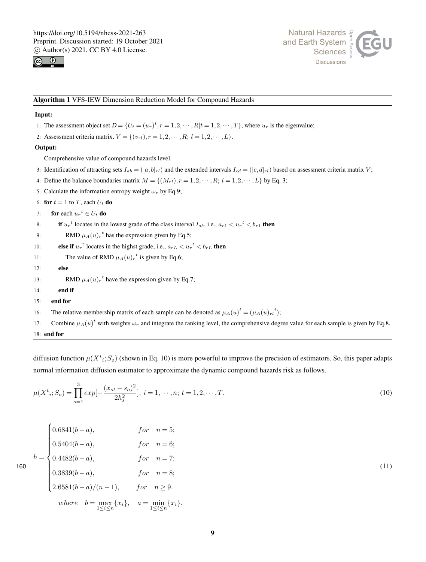



#### Algorithm 1 VFS-IEW Dimension Reduction Model for Compound Hazards

# Input:

- 1: The assessment object set  $D = \{U_t = (u_r)^t, r = 1, 2, \cdots, R | t = 1, 2, \cdots, T\}$ , where  $u_r$  is the eigenvalue;
- 2: Assessment criteria matrix,  $V = \{(v_{rl}), r = 1, 2, \cdots, R; l = 1, 2, \cdots, L\}.$

# Output:

Comprehensive value of compound hazards level.

- 3: Identification of attracting sets  $I_{ab} = (a, b_{r})$  and the extended intervals  $I_{cd} = (c, d_{r})$  based on assessment criteria matrix V;
- 4: Define the balance boundaries matrix  $M = \{(M_{rl}), r = 1, 2, \cdots, R; l = 1, 2, \cdots, L\}$  by Eq. 3;
- 5: Calculate the information entropy weight  $\omega_r$  by Eq.9;
- 6: for  $t = 1$  to T, each  $U_t$  do
- 7: for each  $u_r^t \in U_t$  do
- 8: if  $u_r^t$  locates in the lowest grade of the class interval  $I_{ab}$ , i.e.,  $a_{r1} < u_r^t < b_{r1}$  then
- 9: RMD  $\mu_A(u)_r^t$  has the expression given by Eq.5;
- 10: **else if**  $u_r^t$  locates in the highst grade, i.e.,  $a_{rL} < u_r^t < b_{rL}$  then
- 11: The value of RMD  $\mu_A(u)_r^t$  is given by Eq.6;
- 12: else

13: RMD  $\mu_A(u)_r^t$  have the expression given by Eq.7;

- 14: end if
- 15: end for
- 16: The relative membership matrix of each sample can be denoted as  $\mu_A(u)^t = (\mu_A(u)_{rl}^t)$ ;
- 17: Combine  $\mu_A(u)^t$  with weights  $\omega_r$  and integrate the ranking level, the comprehensive degree value for each sample is given by Eq.8. 18: end for

diffusion function  $\mu(X^t, S_o)$  (shown in Eq. 10) is more powerful to improve the precision of estimators. So, this paper adapts normal information diffusion estimator to approximate the dynamic compound hazards risk as follows.

$$
\mu(X^t_i; S_o) = \prod_{o=1}^3 exp[-\frac{(x_{ot} - s_o)^2}{2h_s^2}], \ i = 1, \cdots, n; \ t = 1, 2, \cdots, T.
$$
\n(10)

$$
h = \begin{cases} 0.6841(b-a), & \text{for } n = 5; \\ 0.5404(b-a), & \text{for } n = 6; \\ 0.4482(b-a), & \text{for } n = 7; \\ 0.3839(b-a), & \text{for } n = 8; \\ 2.6581(b-a)/(n-1), & \text{for } n \ge 9. \end{cases} \tag{11}
$$
\n
$$
where \quad b = \max_{1 \le i \le n} \{x_i\}, \quad a = \min_{1 \le i \le n} \{x_i\}.
$$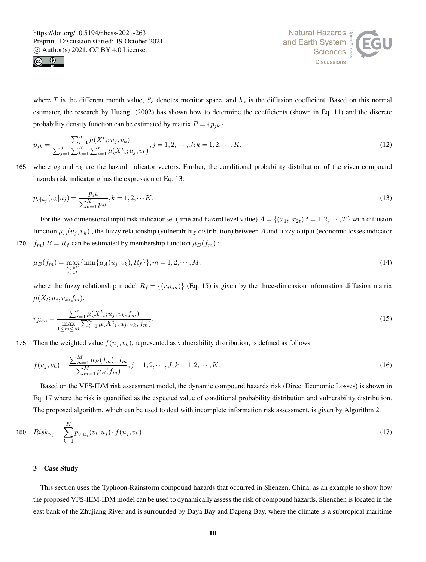



where T is the different month value,  $S<sub>o</sub>$  denotes monitor space, and  $h<sub>s</sub>$  is the diffusion coefficient. Based on this normal estimator, the research by Huang (2002) has shown how to determine the coefficients (shown in Eq. 11) and the discrete probability density function can be estimated by matrix  $P = \{p_{jk}\}.$ 

$$
p_{jk} = \frac{\sum_{i=1}^{n} \mu(X^t, u_j, v_k)}{\sum_{j=1}^{J} \sum_{k=1}^{K} \sum_{i=1}^{n} \mu(X^t, u_j, v_k)}, j = 1, 2, \cdots, J; k = 1, 2, \cdots, K.
$$
\n(12)

165 where  $u_j$  and  $v_k$  are the hazard indicator vectors. Further, the conditional probability distribution of the given compound hazards risk indicator  $u$  has the expression of Eq. 13:

$$
p_{v|u_j}(v_k|u_j) = \frac{p_{jk}}{\sum_{k=1}^{K} p_{jk}}, k = 1, 2, \cdots K.
$$
\n(13)

For the two dimensional input risk indicator set (time and hazard level value)  $A = \{(x_1, x_2, x_3) | t = 1, 2, \dots, T\}$  with diffusion function  $\mu_A(u_j, v_k)$ , the fuzzy relationship (vulnerability distribution) between A and fuzzy output (economic losses indicator 170  $f_m$ )  $B = R_f$  can be estimated by membership function  $\mu_B(f_m)$ :

$$
\mu_B(f_m) = \max_{\substack{u_j \in U \\ v_k \in V}} \{ \min\{\mu_A(u_j, v_k), R_f\} \}, m = 1, 2, \cdots, M. \tag{14}
$$

where the fuzzy relationship model  $R_f = \{(r_{jkm})\}$  (Eq. 15) is given by the three-dimension information diffusion matrix  $\mu(X_t; u_i, v_k, f_m)$ .

$$
r_{jkm} = \frac{\sum_{i=1}^{n} \mu(X^t_i; u_j, v_k, f_m)}{\max_{1 \le m \le M} \sum_{i=1}^{n} \mu(X^t_i; u_j, v_k, f_m)}.
$$
\n(15)

175 Then the weighted value  $f(u_i, v_k)$ , represented as vulnerability distribution, is defined as follows.

$$
f(u_j, v_k) = \frac{\sum_{m=1}^{M} \mu_B(f_m) \cdot f_m}{\sum_{m=1}^{M} \mu_B(f_m)}, j = 1, 2, \cdots, J; k = 1, 2, \cdots, K.
$$
 (16)

Based on the VFS-IDM risk assessment model, the dynamic compound hazards risk (Direct Economic Losses) is shown in Eq. 17 where the risk is quantified as the expected value of conditional probability distribution and vulnerability distribution. The proposed algorithm, which can be used to deal with incomplete information risk assessment, is given by Algorithm 2.

$$
180 \quad Risk_{u_j} = \sum_{k=1}^{K} p_{v|u_j}(v_k|u_j) \cdot f(u_j, v_k)
$$
\n(17)

#### 3 Case Study

This section uses the Typhoon-Rainstorm compound hazards that occurred in Shenzen, China, as an example to show how the proposed VFS-IEM-IDM model can be used to dynamically assess the risk of compound hazards. Shenzhen is located in the east bank of the Zhujiang River and is surrounded by Daya Bay and Dapeng Bay, where the climate is a subtropical maritime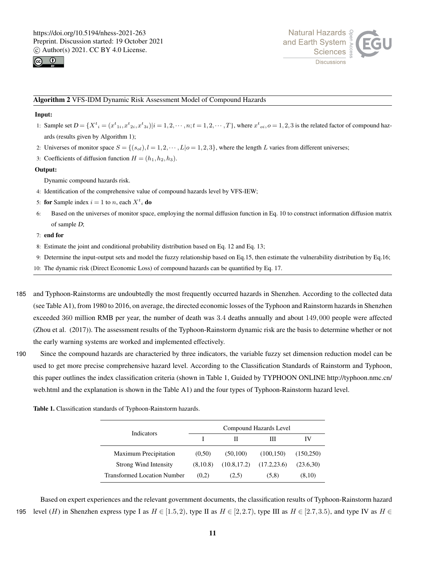



#### Algorithm 2 VFS-IDM Dynamic Risk Assessment Model of Compound Hazards

#### Input:

- 1: Sample set  $D = \{X^t_i = (x^t_{1i}, x^t_{2i}, x^t_{3i}) | i = 1, 2, \dots, n; t = 1, 2, \dots, T\}$ , where  $x^t_{oi}$ ,  $o = 1, 2, 3$  is the related factor of compound hazards (results given by Algorithm 1);
- 2: Universes of monitor space  $S = \{(s_{ol}), l = 1, 2, \dots, L | o = 1, 2, 3\}$ , where the length L varies from different universes;
- 3: Coefficients of diffusion function  $H = (h_1, h_2, h_3)$ .

#### Output:

Dynamic compound hazards risk.

- 4: Identification of the comprehensive value of compound hazards level by VFS-IEW;
- 5: **for** Sample index  $i = 1$  to *n*, each  $X^t$  **do**
- 6: Based on the universes of monitor space, employing the normal diffusion function in Eq. 10 to construct information diffusion matrix of sample D;

#### 7: end for

- 8: Estimate the joint and conditional probability distribution based on Eq. 12 and Eq. 13;
- 9: Determine the input-output sets and model the fuzzy relationship based on Eq.15, then estimate the vulnerability distribution by Eq.16;
- 10: The dynamic risk (Direct Economic Loss) of compound hazards can be quantified by Eq. 17.
- 185 and Typhoon-Rainstorms are undoubtedly the most frequently occurred hazards in Shenzhen. According to the collected data (see Table A1), from 1980 to 2016, on average, the directed economic losses of the Typhoon and Rainstorm hazards in Shenzhen exceeded 360 million RMB per year, the number of death was 3.4 deaths annually and about 149,000 people were affected (Zhou et al. (2017)). The assessment results of the Typhoon-Rainstorm dynamic risk are the basis to determine whether or not the early warning systems are worked and implemented effectively.
- 190 Since the compound hazards are characteried by three indicators, the variable fuzzy set dimension reduction model can be used to get more precise comprehensive hazard level. According to the Classification Standards of Rainstorm and Typhoon, this paper outlines the index classification criteria (shown in Table 1, Guided by TYPHOON ONLINE http://typhoon.nmc.cn/ web.html and the explanation is shown in the Table A1) and the four types of Typhoon-Rainstorm hazard level.

| Indicators                         | Compound Hazards Level |              |              |           |  |
|------------------------------------|------------------------|--------------|--------------|-----------|--|
|                                    |                        |              | Ш            | IV        |  |
| Maximum Precipitation              | (0.50)                 | (50,100)     | (100, 150)   | (150.250) |  |
| <b>Strong Wind Intensity</b>       | (8,10.8)               | (10.8, 17.2) | (17.2, 23.6) | (23.6,30) |  |
| <b>Transformed Location Number</b> | (0.2)                  | (2.5)        | (5.8)        | (8,10)    |  |

Table 1. Classification standards of Typhoon-Rainstorm hazards.

Based on expert experiences and the relevant government documents, the classification results of Typhoon-Rainstorm hazard 195 level (H) in Shenzhen express type I as  $H \in [1.5, 2)$ , type II as  $H \in [2, 2.7)$ , type III as  $H \in [2.7, 3.5)$ , and type IV as  $H \in [2.7, 3.5)$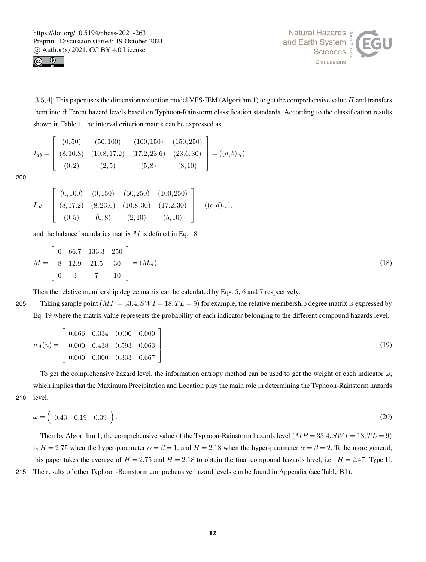



[3.5, 4]. This paper uses the dimension reduction model VFS-IEM (Algorithm 1) to get the comprehensive value H and transfers them into different hazard levels based on Typhoon-Rainstorm classification standards. According to the classification results shown in Table 1, the interval criterion matrix can be expressed as

$$
I_{ab} = \begin{bmatrix} (0,50) & (50,100) & (100,150) & (150,250) \\ (8,10.8) & (10.8,17.2) & (17.2,23.6) & (23.6,30) \\ (0,2) & (2,5) & (5,8) & (8,10) \end{bmatrix} = ((a,b)_{rl}),
$$

200

$$
I_{cd} = \begin{bmatrix} (0,100) & (0,150) & (50,250) & (100,250) \\ (8,17.2) & (8,23.6) & (10.8,30) & (17.2,30) \\ (0,5) & (0,8) & (2,10) & (5,10) \end{bmatrix} = ((c,d)_{rl}),
$$

and the balance boundaries matrix  $M$  is defined in Eq. 18

$$
M = \begin{bmatrix} 0 & 66.7 & 133.3 & 250 \\ 8 & 12.9 & 21.5 & 30 \\ 0 & 3 & 7 & 10 \end{bmatrix} = (M_{rl}).
$$
 (18)

Then the relative membership degree matrix can be calculated by Eqs. 5, 6 and 7 respectively.

205 Taking sample point  $(MP = 33.4, SW = 18, TL = 9)$  for example, the relative membership degree matrix is expressed by Eq. 19 where the matrix value represents the probability of each indicator belonging to the different compound hazards level.

$$
\mu_A(u) = \begin{bmatrix} 0.666 & 0.334 & 0.000 & 0.000 \\ 0.000 & 0.438 & 0.593 & 0.063 \\ 0.000 & 0.000 & 0.333 & 0.667 \end{bmatrix}.
$$
\n(19)

To get the comprehensive hazard level, the information entropy method can be used to get the weight of each indicator  $\omega$ , which implies that the Maximum Precipitation and Location play the main role in determining the Typhoon-Rainstorm hazards 210 level.

$$
\omega = \begin{pmatrix} 0.43 & 0.19 & 0.39 \end{pmatrix} . \tag{20}
$$

Then by Algorithm 1, the comprehensive value of the Typhoon-Rainstorm hazards level  $(MP = 33.4, SWI = 18, TL = 9)$ is  $H = 2.75$  when the hyper-parameter  $\alpha = \beta = 1$ , and  $H = 2.18$  when the hyper-parameter  $\alpha = \beta = 2$ . To be more general, this paper takes the average of  $H = 2.75$  and  $H = 2.18$  to obtain the final compound hazards level, i.e.,  $H = 2.47$ , Type II. 215 The results of other Typhoon-Rainstorm comprehensive hazard levels can be found in Appendix (see Table B1).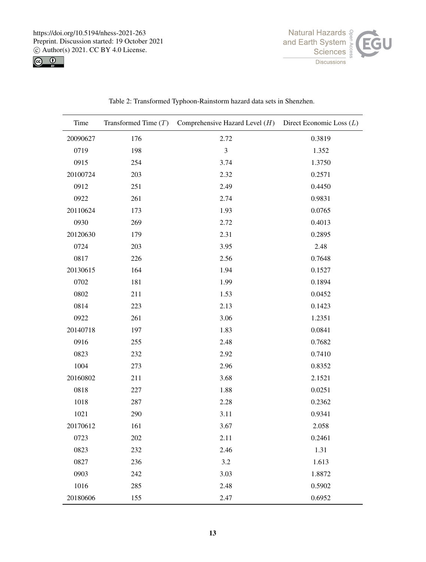https://doi.org/10.5194/nhess-2021-263 Preprint. Discussion started: 19 October 2021  $\circledcirc$  Author(s) 2021. CC BY 4.0 License.<br>  $\circledcirc$   $\circledcirc$ 





| Time     |     | Transformed Time $(T)$ Comprehensive Hazard Level $(H)$ Direct Economic Loss $(L)$ |        |
|----------|-----|------------------------------------------------------------------------------------|--------|
| 20090627 | 176 | 2.72                                                                               | 0.3819 |
| 0719     | 198 | $\mathfrak{Z}$                                                                     | 1.352  |
| 0915     | 254 | 3.74                                                                               | 1.3750 |
| 20100724 | 203 | 2.32                                                                               | 0.2571 |
| 0912     | 251 | 2.49                                                                               | 0.4450 |
| 0922     | 261 | 2.74                                                                               | 0.9831 |
| 20110624 | 173 | 1.93                                                                               | 0.0765 |
| 0930     | 269 | 2.72                                                                               | 0.4013 |
| 20120630 | 179 | 2.31                                                                               | 0.2895 |
| 0724     | 203 | 3.95                                                                               | 2.48   |
| 0817     | 226 | 2.56                                                                               | 0.7648 |
| 20130615 | 164 | 1.94                                                                               | 0.1527 |
| 0702     | 181 | 1.99                                                                               | 0.1894 |
| 0802     | 211 | 1.53                                                                               | 0.0452 |
| 0814     | 223 | 2.13                                                                               | 0.1423 |
| 0922     | 261 | 3.06                                                                               | 1.2351 |
| 20140718 | 197 | 1.83                                                                               | 0.0841 |
| 0916     | 255 | 2.48                                                                               | 0.7682 |
| 0823     | 232 | 2.92                                                                               | 0.7410 |
| 1004     | 273 | 2.96                                                                               | 0.8352 |
| 20160802 | 211 | 3.68                                                                               | 2.1521 |
| 0818     | 227 | 1.88                                                                               | 0.0251 |
| 1018     | 287 | 2.28                                                                               | 0.2362 |
| 1021     | 290 | 3.11                                                                               | 0.9341 |
| 20170612 | 161 | 3.67                                                                               | 2.058  |
| 0723     | 202 | 2.11                                                                               | 0.2461 |
| 0823     | 232 | 2.46                                                                               | 1.31   |
| 0827     | 236 | 3.2                                                                                | 1.613  |
| 0903     | 242 | 3.03                                                                               | 1.8872 |
| 1016     | 285 | 2.48                                                                               | 0.5902 |
| 20180606 | 155 | 2.47                                                                               | 0.6952 |

Table 2: Transformed Typhoon-Rainstorm hazard data sets in Shenzhen.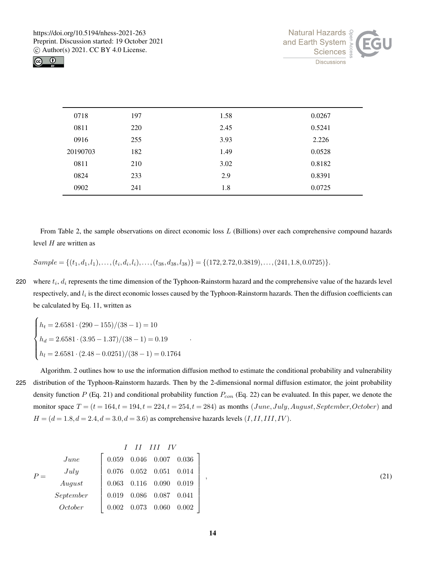



| 0718     | 197 | 1.58 | 0.0267 |
|----------|-----|------|--------|
| 0811     | 220 | 2.45 | 0.5241 |
| 0916     | 255 | 3.93 | 2.226  |
| 20190703 | 182 | 1.49 | 0.0528 |
| 0811     | 210 | 3.02 | 0.8182 |
| 0824     | 233 | 2.9  | 0.8391 |
| 0902     | 241 | 1.8  | 0.0725 |

From Table 2, the sample observations on direct economic loss L (Billions) over each comprehensive compound hazards level  $H$  are written as

 $Sample = \{(t_1, d_1, l_1), \ldots, (t_i, d_i, l_i), \ldots, (t_{38}, d_{38}, l_{38})\} = \{(172, 2.72, 0.3819), \ldots, (241, 1.8, 0.0725)\}.$ 

220 where  $t_i$ ,  $d_i$  represents the time dimension of the Typhoon-Rainstorm hazard and the comprehensive value of the hazards level respectively, and  $l_i$  is the direct economic losses caused by the Typhoon-Rainstorm hazards. Then the diffusion coefficients can be calculated by Eq. 11, written as

.

$$
\begin{cases}\nh_t = 2.6581 \cdot (290 - 155)/(38 - 1) = 10 \\
h_d = 2.6581 \cdot (3.95 - 1.37)/(38 - 1) = 0.19 \\
h_l = 2.6581 \cdot (2.48 - 0.0251)/(38 - 1) = 0.1764\n\end{cases}
$$

 $\overline{\phantom{a}}$ 

Algorithm. 2 outlines how to use the information diffusion method to estimate the conditional probability and vulnerability 225 distribution of the Typhoon-Rainstorm hazards. Then by the 2-dimensional normal diffusion estimator, the joint probability density function  $P$  (Eq. 21) and conditional probability function  $P_{con}$  (Eq. 22) can be evaluated. In this paper, we denote the monitor space  $T = (t = 164, t = 194, t = 224, t = 254, t = 284)$  as months  $(June, July, August, September, October)$  and  $H = (d = 1.8, d = 2.4, d = 3.0, d = 3.6)$  as comprehensive hazards levels  $(I, II, III, IV)$ .

|           |       |       | II III IV                     |             |
|-----------|-------|-------|-------------------------------|-------------|
| June      | 0.059 |       | $0.046\quad 0.007\quad 0.036$ |             |
| July      | 0.076 |       | $0.052\quad 0.051\quad 0.014$ |             |
| August    | 0.063 |       | $0.116$ 0.090                 | 0.019       |
| September | 0.019 | 0.086 | 0.087                         | $\,0.041\,$ |
| October   | 0.002 | 0.073 | 0.060                         | 0.002       |

 $,$  (21)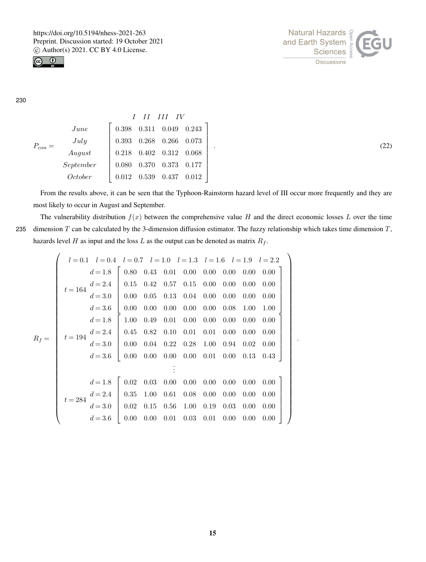



.  $(22)$ 

.

230

|           |                             |       | I II III IV        |               |                                 |
|-----------|-----------------------------|-------|--------------------|---------------|---------------------------------|
|           | June                        | 0.398 |                    |               | $0.311 \quad 0.049 \quad 0.243$ |
| $P_{con}$ | July                        | 0.393 | $0.268$ 0.266      |               | 0.073                           |
|           | $\label{equ:august} August$ | 0.218 | $0.402$ $0.312$    |               | 0.068                           |
|           | September                   | 0.080 | $0.370\quad 0.373$ |               | 0.177                           |
|           | October                     | 0.012 |                    | $0.539$ 0.437 | 0.012                           |

From the results above, it can be seen that the Typhoon-Rainstorm hazard level of III occur more frequently and they are most likely to occur in August and September.

The vulnerability distribution  $f(x)$  between the comprehensive value H and the direct economic losses L over the time 235 dimension  $T$  can be calculated by the 3-dimension diffusion estimator. The fuzzy relationship which takes time dimension  $T$ , hazards level H as input and the loss L as the output can be denoted as matrix  $R_f$ .

$$
R_f = \begin{pmatrix}\n l = 0.1 & l = 0.4 & l = 0.7 & l = 1.0 & l = 1.3 & l = 1.6 & l = 1.9 & l = 2.2 \\
 d = 1.8 & 0.80 & 0.43 & 0.01 & 0.00 & 0.00 & 0.00 & 0.00 & 0.00 \\
 d = 2.4 & 0.15 & 0.42 & 0.57 & 0.15 & 0.00 & 0.00 & 0.00 & 0.00 \\
 d = 3.6 & 0.00 & 0.05 & 0.13 & 0.04 & 0.00 & 0.00 & 0.00 & 0.00 \\
 d = 1.8 & 1.00 & 0.49 & 0.01 & 0.00 & 0.00 & 0.00 & 0.00 & 0.00 \\
 d = 3.6 & 0.45 & 0.82 & 0.10 & 0.01 & 0.01 & 0.00 & 0.00 & 0.00 \\
 d = 3.6 & 0.00 & 0.04 & 0.22 & 0.28 & 1.00 & 0.94 & 0.02 & 0.00 \\
 d = 1.8 & 0.00 & 0.00 & 0.00 & 0.00 & 0.01 & 0.00 & 0.01 & 0.02 & 0.00 \\
 d = 1.8 & 0.02 & 0.03 & 0.00 & 0.00 & 0.00 & 0.00 & 0.00 & 0.00 & 0.00 \\
 d = 2.4 & d = 2.4 & 0.35 & 1.00 & 0.61 & 0.08 & 0.00 & 0.00 & 0.00 & 0.00 & 0.00 \\
 d = 3.6 & 0.02 & 0.15 & 0.56 & 1.00 & 0.19 & 0.03 & 0.00 & 0.00 & 0.00 \\
 d = 3.6 & 0.00 & 0.00 & 0.01 & 0.03 & 0.01 & 0.00 & 0.00 & 0.00 & 0.00 \\
 d = 3.6 & 0.00 & 0.00 & 0.01 & 0.03 & 0.01 & 0.00 & 0.00 & 0
$$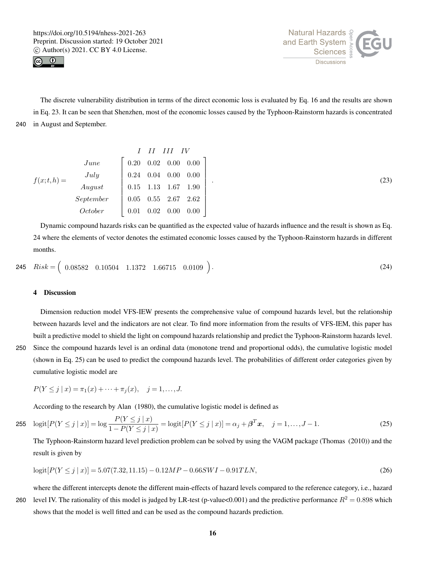



The discrete vulnerability distribution in terms of the direct economic loss is evaluated by Eq. 16 and the results are shown in Eq. 23. It can be seen that Shenzhen, most of the economic losses caused by the Typhoon-Rainstorm hazards is concentrated 240 in August and September.

$$
f(x;t,h) = \begin{bmatrix} I & II & III & IV \\ Juue & & & 0.20 & 0.02 & 0.00 & 0.00 \\ July & & & & 0.24 & 0.04 & 0.00 & 0.00 \\ August & & & & 0.15 & 1.13 & 1.67 & 1.90 \\ Soptember & & & 0.05 & 0.55 & 2.67 & 2.62 \\ October & & & 0.01 & 0.02 & 0.00 & 0.00 \end{bmatrix}
$$
 (23)

Dynamic compound hazards risks can be quantified as the expected value of hazards influence and the result is shown as Eq. 24 where the elements of vector denotes the estimated economic losses caused by the Typhoon-Rainstorm hazards in different months.

$$
Risk = \begin{pmatrix} 0.08582 & 0.10504 & 1.1372 & 1.66715 & 0.0109 \end{pmatrix}.
$$
\n(24)

#### 4 Discussion

Dimension reduction model VFS-IEW presents the comprehensive value of compound hazards level, but the relationship between hazards level and the indicators are not clear. To find more information from the results of VFS-IEM, this paper has built a predictive model to shield the light on compound hazards relationship and predict the Typhoon-Rainstorm hazards level. 250 Since the compound hazards level is an ordinal data (monotone trend and proportional odds), the cumulative logistic model (shown in Eq. 25) can be used to predict the compound hazards level. The probabilities of different order categories given by

cumulative logistic model are

$$
P(Y \le j \mid x) = \pi_1(x) + \dots + \pi_j(x), \quad j = 1, \dots, J.
$$

According to the research by Alan (1980), the cumulative logistic model is defined as

255 
$$
\text{logit}[P(Y \le j \mid x)] = \log \frac{P(Y \le j \mid x)}{1 - P(Y \le j \mid x)} = \text{logit}[P(Y \le j \mid x)] = \alpha_j + \beta^T x, \quad j = 1, ..., J - 1.
$$
 (25)

The Typhoon-Rainstorm hazard level prediction problem can be solved by using the VAGM package (Thomas (2010)) and the result is given by

$$
logit[P(Y \le j \mid x)] = 5.07(7.32, 11.15) - 0.12MP - 0.66SWI - 0.91TLN,
$$
\n(26)

where the different intercepts denote the different main-effects of hazard levels compared to the reference category, i.e., hazard 260 level IV. The rationality of this model is judged by LR-test (p-value <0.001) and the predictive performance  $R^2 = 0.898$  which shows that the model is well fitted and can be used as the compound hazards prediction.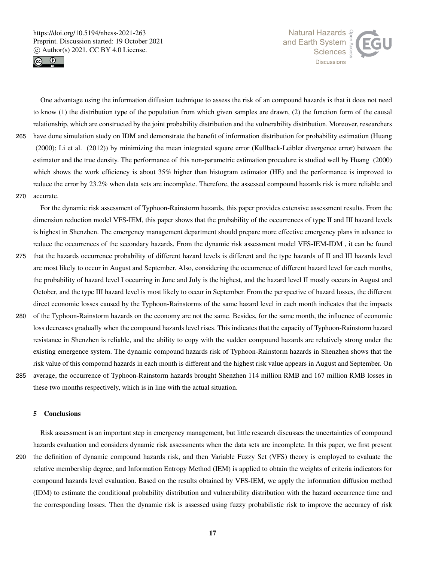



One advantage using the information diffusion technique to assess the risk of an compound hazards is that it does not need to know (1) the distribution type of the population from which given samples are drawn, (2) the function form of the causal relationship, which are constructed by the joint probability distribution and the vulnerability distribution. Moreover, researchers 265 have done simulation study on IDM and demonstrate the benefit of information distribution for probability estimation (Huang (2000); Li et al. (2012)) by minimizing the mean integrated square error (Kullback-Leibler divergence error) between the estimator and the true density. The performance of this non-parametric estimation procedure is studied well by Huang (2000) which shows the work efficiency is about 35% higher than histogram estimator (HE) and the performance is improved to reduce the error by 23.2% when data sets are incomplete. Therefore, the assessed compound hazards risk is more reliable and 270 accurate.

For the dynamic risk assessment of Typhoon-Rainstorm hazards, this paper provides extensive assessment results. From the dimension reduction model VFS-IEM, this paper shows that the probability of the occurrences of type II and III hazard levels is highest in Shenzhen. The emergency management department should prepare more effective emergency plans in advance to reduce the occurrences of the secondary hazards. From the dynamic risk assessment model VFS-IEM-IDM , it can be found

- 275 that the hazards occurrence probability of different hazard levels is different and the type hazards of II and III hazards level are most likely to occur in August and September. Also, considering the occurrence of different hazard level for each months, the probability of hazard level I occurring in June and July is the highest, and the hazard level II mostly occurs in August and October, and the type III hazard level is most likely to occur in September. From the perspective of hazard losses, the different direct economic losses caused by the Typhoon-Rainstorms of the same hazard level in each month indicates that the impacts
- 280 of the Typhoon-Rainstorm hazards on the economy are not the same. Besides, for the same month, the influence of economic loss decreases gradually when the compound hazards level rises. This indicates that the capacity of Typhoon-Rainstorm hazard resistance in Shenzhen is reliable, and the ability to copy with the sudden compound hazards are relatively strong under the existing emergence system. The dynamic compound hazards risk of Typhoon-Rainstorm hazards in Shenzhen shows that the risk value of this compound hazards in each month is different and the highest risk value appears in August and September. On 285 average, the occurrence of Typhoon-Rainstorm hazards brought Shenzhen 114 million RMB and 167 million RMB losses in these two months respectively, which is in line with the actual situation.
	-

# 5 Conclusions

Risk assessment is an important step in emergency management, but little research discusses the uncertainties of compound hazards evaluation and considers dynamic risk assessments when the data sets are incomplete. In this paper, we first present 290 the definition of dynamic compound hazards risk, and then Variable Fuzzy Set (VFS) theory is employed to evaluate the relative membership degree, and Information Entropy Method (IEM) is applied to obtain the weights of criteria indicators for compound hazards level evaluation. Based on the results obtained by VFS-IEM, we apply the information diffusion method (IDM) to estimate the conditional probability distribution and vulnerability distribution with the hazard occurrence time and the corresponding losses. Then the dynamic risk is assessed using fuzzy probabilistic risk to improve the accuracy of risk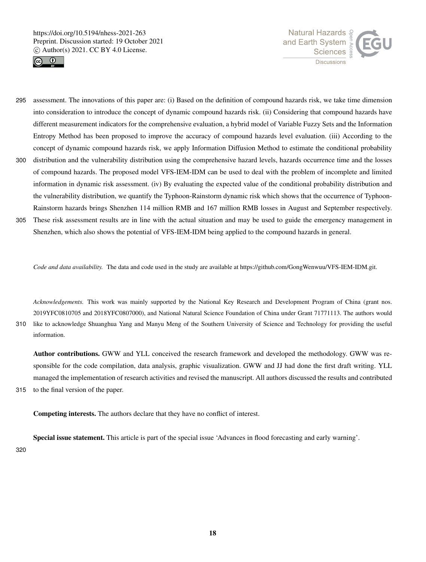



- 295 assessment. The innovations of this paper are: (i) Based on the definition of compound hazards risk, we take time dimension into consideration to introduce the concept of dynamic compound hazards risk. (ii) Considering that compound hazards have different measurement indicators for the comprehensive evaluation, a hybrid model of Variable Fuzzy Sets and the Information Entropy Method has been proposed to improve the accuracy of compound hazards level evaluation. (iii) According to the concept of dynamic compound hazards risk, we apply Information Diffusion Method to estimate the conditional probability 300 distribution and the vulnerability distribution using the comprehensive hazard levels, hazards occurrence time and the losses of compound hazards. The proposed model VFS-IEM-IDM can be used to deal with the problem of incomplete and limited
- information in dynamic risk assessment. (iv) By evaluating the expected value of the conditional probability distribution and the vulnerability distribution, we quantify the Typhoon-Rainstorm dynamic risk which shows that the occurrence of Typhoon-Rainstorm hazards brings Shenzhen 114 million RMB and 167 million RMB losses in August and September respectively.
- 305 These risk assessment results are in line with the actual situation and may be used to guide the emergency management in Shenzhen, which also shows the potential of VFS-IEM-IDM being applied to the compound hazards in general.

*Code and data availability.* The data and code used in the study are available at https://github.com/GongWenwuu/VFS-IEM-IDM.git.

*Acknowledgements.* This work was mainly supported by the National Key Research and Development Program of China (grant nos. 2019YFC0810705 and 2018YFC0807000), and National Natural Science Foundation of China under Grant 71771113. The authors would 310 like to acknowledge Shuanghua Yang and Manyu Meng of the Southern University of Science and Technology for providing the useful information.

Author contributions. GWW and YLL conceived the research framework and developed the methodology. GWW was responsible for the code compilation, data analysis, graphic visualization. GWW and JJ had done the first draft writing. YLL managed the implementation of research activities and revised the manuscript. All authors discussed the results and contributed 315 to the final version of the paper.

Competing interests. The authors declare that they have no conflict of interest.

Special issue statement. This article is part of the special issue 'Advances in flood forecasting and early warning'.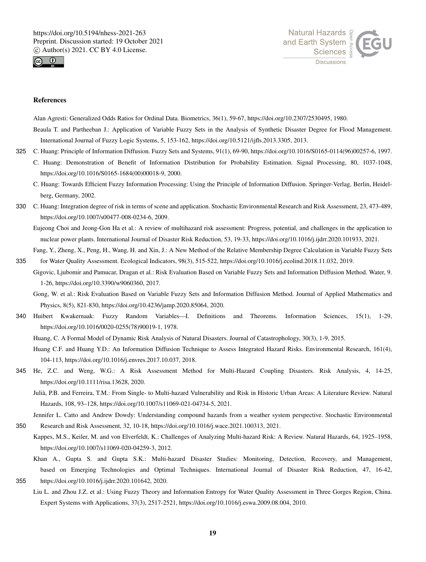



#### References

Alan Agresti: Generalized Odds Ratios for Ordinal Data. Biometrics, 36(1), 59-67, https://doi.org/10.2307/2530495, 1980. Beaula T. and Partheeban J.: Application of Variable Fuzzy Sets in the Analysis of Synthetic Disaster Degree for Flood Management. International Journal of Fuzzy Logic Systems, 5, 153-162, https://doi.org/10.5121/ijfls.2013.3305, 2013.

- 325 C. Huang: Principle of Information Diffusion. Fuzzy Sets and Systems, 91(1), 69-90, https://doi.org/10.1016/S0165-0114(96)00257-6, 1997.
	- C. Huang: Demonstration of Benefit of Information Distribution for Probability Estimation. Signal Processing, 80, 1037-1048, https://doi.org/10.1016/S0165-1684(00)00018-9, 2000.
	- C. Huang: Towards Efficient Fuzzy Information Processing: Using the Principle of Information Diffusion. Springer-Verlag, Berlin, Heidelberg, Germany, 2002.
- 330 C. Huang: Integration degree of risk in terms of scene and application. Stochastic Environmental Research and Risk Assessment, 23, 473-489, https://doi.org/10.1007/s00477-008-0234-6, 2009.

Eujeong Choi and Jeong-Gon Ha et al.: A review of multihazard risk assessment: Progress, potential, and challenges in the application to nuclear power plants. International Journal of Disaster Risk Reduction, 53, 19-33, https://doi.org/10.1016/j.ijdrr.2020.101933, 2021.

Fang, Y., Zheng, X., Peng, H., Wang, H. and Xin, J.: A New Method of the Relative Membership Degree Calculation in Variable Fuzzy Sets 335 for Water Quality Assessment. Ecological Indicators, 98(3), 515-522, https://doi.org/10.1016/j.ecolind.2018.11.032, 2019.

Gigovic, Ljubomir and Pamucar, Dragan et al.: Risk Evaluation Based on Variable Fuzzy Sets and Information Diffusion Method. Water, 9. 1-26, https://doi.org/10.3390/w9060360, 2017.

Gong, W. et al.: Risk Evaluation Based on Variable Fuzzy Sets and Information Diffusion Method. Journal of Applied Mathematics and Physics, 8(5), 821-830, https://doi.org/10.4236/jamp.2020.85064, 2020.

- 340 Huibert Kwakernaak: Fuzzy Random Variables—I. Definitions and Theorems. Information Sciences, 15(1), 1-29, https://doi.org/10.1016/0020-0255(78)90019-1, 1978.
	- Huang, C. A Formal Model of Dynamic Risk Analysis of Natural Disasters. Journal of Catastrophology, 30(3), 1-9, 2015.
	- Huang C.F. and Huang Y.D.: An Information Diffusion Technique to Assess Integrated Hazard Risks. Environmental Research, 161(4), 104-113, https://doi.org/10.1016/j.envres.2017.10.037, 2018.
- 345 He, Z.C. and Weng, W.G.: A Risk Assessment Method for Multi-Hazard Coupling Disasters. Risk Analysis, 4, 14-25, https://doi.org/10.1111/risa.13628, 2020.
	- Julià, P.B. and Ferreira, T.M.: From Single- to Multi-hazard Vulnerability and Risk in Historic Urban Areas: A Literature Review. Natural Hazards, 108, 93–128, https://doi.org/10.1007/s11069-021-04734-5, 2021.

Jennifer L. Catto and Andrew Dowdy: Understanding compound hazards from a weather system perspective. Stochastic Environmental

350 Research and Risk Assessment, 32, 10-18, https://doi.org/10.1016/j.wace.2021.100313, 2021.

Kappes, M.S., Keiler, M. and von Elverfeldt, K.: Challenges of Analyzing Multi-hazard Risk: A Review. Natural Hazards, 64, 1925–1958, https://doi.org/10.1007/s11069-020-04259-3, 2012.

- Khan A., Gupta S. and Gupta S.K.: Multi-hazard Disaster Studies: Monitoring, Detection, Recovery, and Management, based on Emerging Technologies and Optimal Techniques. International Journal of Disaster Risk Reduction, 47, 16-42, 355 https://doi.org/10.1016/j.ijdrr.2020.101642, 2020.
	- Liu L. and Zhou J.Z. et al.: Using Fuzzy Theory and Information Entropy for Water Quality Assessment in Three Gorges Region, China. Expert Systems with Applications, 37(3), 2517-2521, https://doi.org/10.1016/j.eswa.2009.08.004, 2010.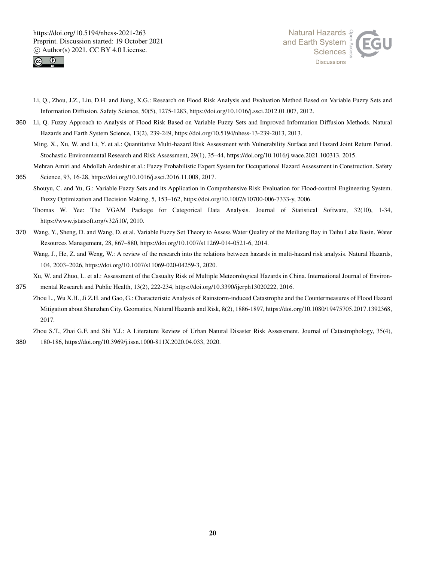



- Li, Q., Zhou, J.Z., Liu, D.H. and Jiang, X.G.: Research on Flood Risk Analysis and Evaluation Method Based on Variable Fuzzy Sets and Information Diffusion. Safety Science, 50(5), 1275-1283, https://doi.org/10.1016/j.ssci.2012.01.007, 2012.
- 360 Li, Q. Fuzzy Approach to Analysis of Flood Risk Based on Variable Fuzzy Sets and Improved Information Diffusion Methods. Natural Hazards and Earth System Science, 13(2), 239-249, https://doi.org/10.5194/nhess-13-239-2013, 2013.
	- Ming, X., Xu, W. and Li, Y. et al.: Quantitative Multi-hazard Risk Assessment with Vulnerability Surface and Hazard Joint Return Period. Stochastic Environmental Research and Risk Assessment, 29(1), 35–44, https://doi.org/10.1016/j.wace.2021.100313, 2015.
- Mehran Amiri and Abdollah Ardeshir et al.: Fuzzy Probabilistic Expert System for Occupational Hazard Assessment in Construction. Safety 365 Science, 93, 16-28, https://doi.org/10.1016/j.ssci.2016.11.008, 2017.
	- Shouyu, C. and Yu, G.: Variable Fuzzy Sets and its Application in Comprehensive Risk Evaluation for Flood-control Engineering System. Fuzzy Optimization and Decision Making, 5, 153–162, https://doi.org/10.1007/s10700-006-7333-y, 2006.
		- Thomas W. Yee: The VGAM Package for Categorical Data Analysis. Journal of Statistical Software, 32(10), 1-34, https://www.jstatsoft.org/v32/i10/, 2010.
- 370 Wang, Y., Sheng, D. and Wang, D. et al. Variable Fuzzy Set Theory to Assess Water Quality of the Meiliang Bay in Taihu Lake Basin. Water Resources Management, 28, 867–880, https://doi.org/10.1007/s11269-014-0521-6, 2014.
	- Wang, J., He, Z. and Weng, W.: A review of the research into the relations between hazards in multi-hazard risk analysis. Natural Hazards, 104, 2003–2026, https://doi.org/10.1007/s11069-020-04259-3, 2020.

Xu, W. and Zhuo, L. et al.: Assessment of the Casualty Risk of Multiple Meteorological Hazards in China. International Journal of Environ-

375 mental Research and Public Health, 13(2), 222-234, https://doi.org/10.3390/ijerph13020222, 2016.

Zhou L., Wu X.H., Ji Z.H. and Gao, G.: Characteristic Analysis of Rainstorm-induced Catastrophe and the Countermeasures of Flood Hazard Mitigation about Shenzhen City. Geomatics, Natural Hazards and Risk, 8(2), 1886-1897, https://doi.org/10.1080/19475705.2017.1392368, 2017.

Zhou S.T., Zhai G.F. and Shi Y.J.: A Literature Review of Urban Natural Disaster Risk Assessment. Journal of Catastrophology, 35(4), 380 180-186, https://doi.org/10.3969/j.issn.1000-811X.2020.04.033, 2020.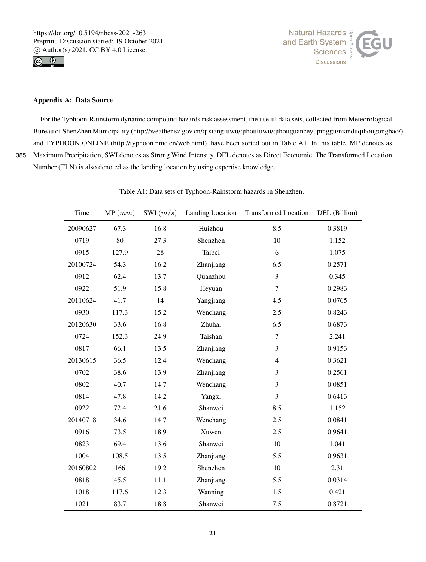



# Appendix A: Data Source

For the Typhoon-Rainstorm dynamic compound hazards risk assessment, the useful data sets, collected from Meteorological Bureau of ShenZhen Municipality (http://weather.sz.gov.cn/qixiangfuwu/qihoufuwu/qihouguanceyupinggu/nianduqihougongbao/) and TYPHOON ONLINE (http://typhoon.nmc.cn/web.html), have been sorted out in Table A1. In this table, MP denotes as 385 Maximum Precipitation, SWI denotes as Strong Wind Intensity, DEL denotes as Direct Economic. The Transformed Location Number (TLN) is also denoted as the landing location by using expertise knowledge.

| Time     | MP(mm) | SWI $(m/s)$ | Landing Location | <b>Transformed Location</b> | DEL (Billion) |
|----------|--------|-------------|------------------|-----------------------------|---------------|
| 20090627 | 67.3   | 16.8        | Huizhou          | 8.5                         | 0.3819        |
| 0719     | 80     | 27.3        | Shenzhen         | 10                          | 1.152         |
| 0915     | 127.9  | 28          | Taibei           | 6                           | 1.075         |
| 20100724 | 54.3   | 16.2        | Zhanjiang        | 6.5                         | 0.2571        |
| 0912     | 62.4   | 13.7        | Quanzhou         | 3                           | 0.345         |
| 0922     | 51.9   | 15.8        | Heyuan           | $\boldsymbol{7}$            | 0.2983        |
| 20110624 | 41.7   | 14          | Yangjiang        | 4.5                         | 0.0765        |
| 0930     | 117.3  | 15.2        | Wenchang         | 2.5                         | 0.8243        |
| 20120630 | 33.6   | 16.8        | Zhuhai           | 6.5                         | 0.6873        |
| 0724     | 152.3  | 24.9        | Taishan          | $\boldsymbol{7}$            | 2.241         |
| 0817     | 66.1   | 13.5        | Zhanjiang        | 3                           | 0.9153        |
| 20130615 | 36.5   | 12.4        | Wenchang         | $\overline{4}$              | 0.3621        |
| 0702     | 38.6   | 13.9        | Zhanjiang        | 3                           | 0.2561        |
| 0802     | 40.7   | 14.7        | Wenchang         | 3                           | 0.0851        |
| 0814     | 47.8   | 14.2        | Yangxi           | 3                           | 0.6413        |
| 0922     | 72.4   | 21.6        | Shanwei          | 8.5                         | 1.152         |
| 20140718 | 34.6   | 14.7        | Wenchang         | 2.5                         | 0.0841        |
| 0916     | 73.5   | 18.9        | Xuwen            | 2.5                         | 0.9641        |
| 0823     | 69.4   | 13.6        | Shanwei          | 10                          | 1.041         |
| 1004     | 108.5  | 13.5        | Zhanjiang        | 5.5                         | 0.9631        |
| 20160802 | 166    | 19.2        | Shenzhen         | 10                          | 2.31          |
| 0818     | 45.5   | 11.1        | Zhanjiang        | 5.5                         | 0.0314        |
| 1018     | 117.6  | 12.3        | Wanning          | 1.5                         | 0.421         |
| 1021     | 83.7   | 18.8        | Shanwei          | 7.5                         | 0.8721        |

Table A1: Data sets of Typhoon-Rainstorm hazards in Shenzhen.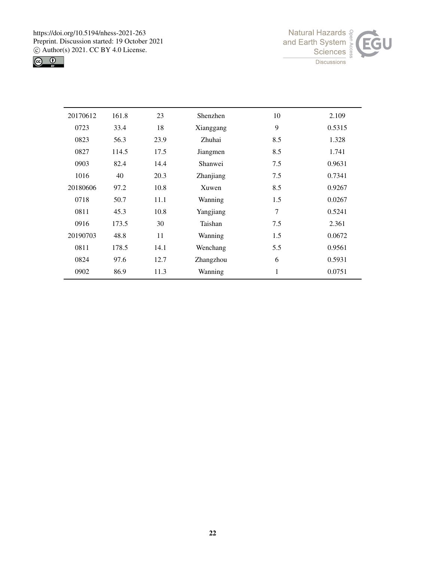



| 20170612 | 161.8 | 23   | Shenzhen  | 10  | 2.109  |
|----------|-------|------|-----------|-----|--------|
| 0723     | 33.4  | 18   | Xianggang | 9   | 0.5315 |
| 0823     | 56.3  | 23.9 | Zhuhai    | 8.5 | 1.328  |
| 0827     | 114.5 | 17.5 | Jiangmen  | 8.5 | 1.741  |
| 0903     | 82.4  | 14.4 | Shanwei   | 7.5 | 0.9631 |
| 1016     | 40    | 20.3 | Zhanjiang | 7.5 | 0.7341 |
| 20180606 | 97.2  | 10.8 | Xuwen     | 8.5 | 0.9267 |
| 0718     | 50.7  | 11.1 | Wanning   | 1.5 | 0.0267 |
| 0811     | 45.3  | 10.8 | Yangjiang | 7   | 0.5241 |
| 0916     | 173.5 | 30   | Taishan   | 7.5 | 2.361  |
| 20190703 | 48.8  | 11   | Wanning   | 1.5 | 0.0672 |
| 0811     | 178.5 | 14.1 | Wenchang  | 5.5 | 0.9561 |
| 0824     | 97.6  | 12.7 | Zhangzhou | 6   | 0.5931 |
| 0902     | 86.9  | 11.3 | Wanning   | 1   | 0.0751 |
|          |       |      |           |     |        |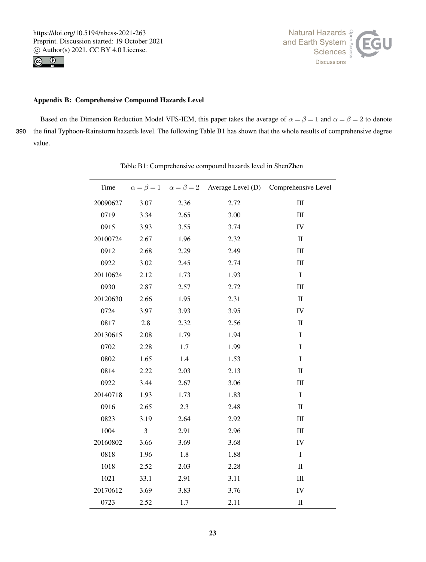https://doi.org/10.5194/nhess-2021-263 Preprint. Discussion started: 19 October 2021  $\overline{c}$  Author(s) 2021. CC BY 4.0 License.<br> $\overline{c}$ 





# Appendix B: Comprehensive Compound Hazards Level

Based on the Dimension Reduction Model VFS-IEM, this paper takes the average of  $\alpha = \beta = 1$  and  $\alpha = \beta = 2$  to denote 390 the final Typhoon-Rainstorm hazards level. The following Table B1 has shown that the whole results of comprehensive degree value.

| Time     |      |      |      | $\alpha = \beta = 1$ $\alpha = \beta = 2$ Average Level (D) Comprehensive Level |
|----------|------|------|------|---------------------------------------------------------------------------------|
| 20090627 | 3.07 | 2.36 | 2.72 | III                                                                             |
| 0719     | 3.34 | 2.65 | 3.00 | III                                                                             |
| 0915     | 3.93 | 3.55 | 3.74 | IV                                                                              |
| 20100724 | 2.67 | 1.96 | 2.32 | $\mathbf{I}$                                                                    |
| 0912     | 2.68 | 2.29 | 2.49 | III                                                                             |
| 0922     | 3.02 | 2.45 | 2.74 | III                                                                             |
| 20110624 | 2.12 | 1.73 | 1.93 | $\bf I$                                                                         |
| 0930     | 2.87 | 2.57 | 2.72 | III                                                                             |
| 20120630 | 2.66 | 1.95 | 2.31 | $\rm II$                                                                        |
| 0724     | 3.97 | 3.93 | 3.95 | IV                                                                              |
| 0817     | 2.8  | 2.32 | 2.56 | $\mathbf{I}$                                                                    |
| 20130615 | 2.08 | 1.79 | 1.94 | I                                                                               |
| 0702     | 2.28 | 1.7  | 1.99 | I                                                                               |
| 0802     | 1.65 | 1.4  | 1.53 | $\bf I$                                                                         |
| 0814     | 2.22 | 2.03 | 2.13 | $\rm II$                                                                        |
| 0922     | 3.44 | 2.67 | 3.06 | $\rm III$                                                                       |
| 20140718 | 1.93 | 1.73 | 1.83 | $\bf I$                                                                         |
| 0916     | 2.65 | 2.3  | 2.48 | $\mathbf{I}$                                                                    |
| 0823     | 3.19 | 2.64 | 2.92 | $\rm III$                                                                       |
| 1004     | 3    | 2.91 | 2.96 | $\rm III$                                                                       |
| 20160802 | 3.66 | 3.69 | 3.68 | IV                                                                              |
| 0818     | 1.96 | 1.8  | 1.88 | $\bf I$                                                                         |
| 1018     | 2.52 | 2.03 | 2.28 | $\rm II$                                                                        |
| 1021     | 33.1 | 2.91 | 3.11 | III                                                                             |
| 20170612 | 3.69 | 3.83 | 3.76 | IV                                                                              |
| 0723     | 2.52 | 1.7  | 2.11 | $\mathop{\rm II}\nolimits$                                                      |

Table B1: Comprehensive compound hazards level in ShenZhen